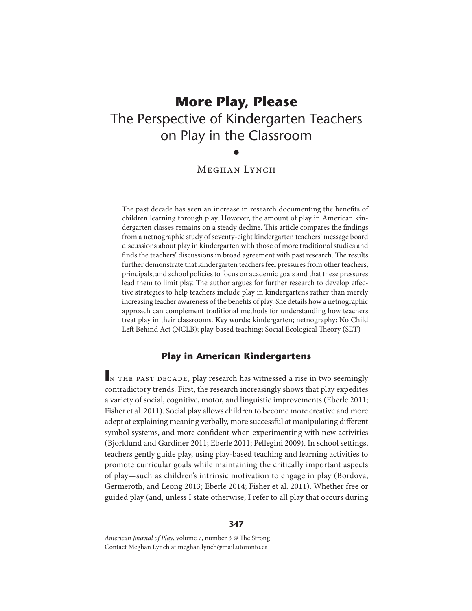# **More Play, Please** The Perspective of Kindergarten Teachers on Play in the Classroom

# •

# Meghan Lynch

The past decade has seen an increase in research documenting the benefits of children learning through play. However, the amount of play in American kindergarten classes remains on a steady decline. This article compares the findings from a netnographic study of seventy-eight kindergarten teachers' message board discussions about play in kindergarten with those of more traditional studies and finds the teachers' discussions in broad agreement with past research. The results further demonstrate that kindergarten teachers feel pressures from other teachers, principals, and school policies to focus on academic goals and that these pressures lead them to limit play. The author argues for further research to develop effective strategies to help teachers include play in kindergartens rather than merely increasing teacher awareness of the benefits of play. She details how a netnographic approach can complement traditional methods for understanding how teachers treat play in their classrooms. **Key words:** kindergarten; netnography; No Child Left Behind Act (NCLB); play-based teaching; Social Ecological Theory (SET)

# **Play in American Kindergartens**

IN THE PAST DECADE, play research has witnessed a rise in two seemingly contradictory trends. First, the research increasingly shows that play expedites a variety of social, cognitive, motor, and linguistic improvements (Eberle 2011; Fisher et al. 2011). Social play allows children to become more creative and more adept at explaining meaning verbally, more successful at manipulating different symbol systems, and more confident when experimenting with new activities (Bjorklund and Gardiner 2011; Eberle 2011; Pellegini 2009). In school settings, teachers gently guide play, using play-based teaching and learning activities to promote curricular goals while maintaining the critically important aspects of play—such as children's intrinsic motivation to engage in play (Bordova, Germeroth, and Leong 2013; Eberle 2014; Fisher et al. 2011). Whether free or guided play (and, unless I state otherwise, I refer to all play that occurs during

#### **347**

American Journal of Play, volume 7, number 3 © The Strong Contact Meghan Lynch at meghan.lynch@mail.utoronto.ca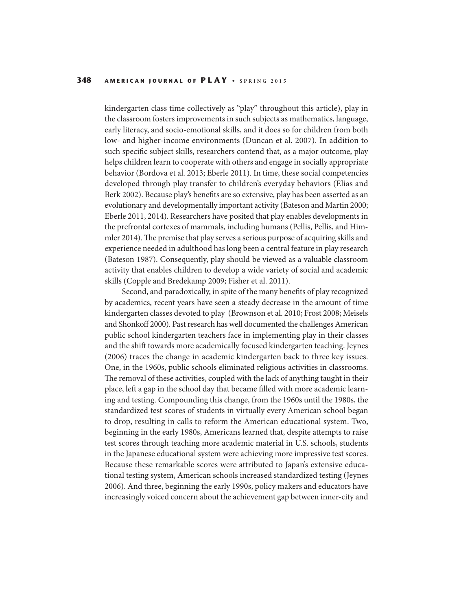kindergarten class time collectively as "play" throughout this article), play in the classroom fosters improvements in such subjects as mathematics, language, early literacy, and socio-emotional skills, and it does so for children from both low- and higher-income environments (Duncan et al. 2007). In addition to such specific subject skills, researchers contend that, as a major outcome, play helps children learn to cooperate with others and engage in socially appropriate behavior (Bordova et al. 2013; Eberle 2011). In time, these social competencies developed through play transfer to children's everyday behaviors (Elias and Berk 2002). Because play's benefits are so extensive, play has been asserted as an evolutionary and developmentally important activity (Bateson and Martin 2000; Eberle 2011, 2014). Researchers have posited that play enables developments in the prefrontal cortexes of mammals, including humans (Pellis, Pellis, and Himmler 2014). The premise that play serves a serious purpose of acquiring skills and experience needed in adulthood has long been a central feature in play research (Bateson 1987). Consequently, play should be viewed as a valuable classroom activity that enables children to develop a wide variety of social and academic skills (Copple and Bredekamp 2009; Fisher et al. 2011).

Second, and paradoxically, in spite of the many benefits of play recognized by academics, recent years have seen a steady decrease in the amount of time kindergarten classes devoted to play (Brownson et al. 2010; Frost 2008; Meisels and Shonkoff 2000). Past research has well documented the challenges American public school kindergarten teachers face in implementing play in their classes and the shift towards more academically focused kindergarten teaching. Jeynes (2006) traces the change in academic kindergarten back to three key issues. One, in the 1960s, public schools eliminated religious activities in classrooms. The removal of these activities, coupled with the lack of anything taught in their place, left a gap in the school day that became filled with more academic learning and testing. Compounding this change, from the 1960s until the 1980s, the standardized test scores of students in virtually every American school began to drop, resulting in calls to reform the American educational system. Two, beginning in the early 1980s, Americans learned that, despite attempts to raise test scores through teaching more academic material in U.S. schools, students in the Japanese educational system were achieving more impressive test scores. Because these remarkable scores were attributed to Japan's extensive educational testing system, American schools increased standardized testing (Jeynes 2006). And three, beginning the early 1990s, policy makers and educators have increasingly voiced concern about the achievement gap between inner-city and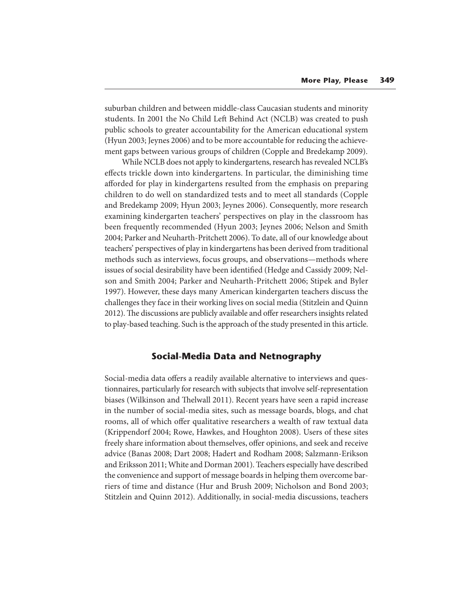suburban children and between middle-class Caucasian students and minority students. In 2001 the No Child Left Behind Act (NCLB) was created to push public schools to greater accountability for the American educational system (Hyun 2003; Jeynes 2006) and to be more accountable for reducing the achievement gaps between various groups of children (Copple and Bredekamp 2009).

While NCLB does not apply to kindergartens, research has revealed NCLB's effects trickle down into kindergartens. In particular, the diminishing time afforded for play in kindergartens resulted from the emphasis on preparing children to do well on standardized tests and to meet all standards (Copple and Bredekamp 2009; Hyun 2003; Jeynes 2006). Consequently, more research examining kindergarten teachers' perspectives on play in the classroom has been frequently recommended (Hyun 2003; Jeynes 2006; Nelson and Smith 2004; Parker and Neuharth-Pritchett 2006). To date, all of our knowledge about teachers' perspectives of play in kindergartens has been derived from traditional methods such as interviews, focus groups, and observations—methods where issues of social desirability have been identified (Hedge and Cassidy 2009; Nelson and Smith 2004; Parker and Neuharth-Pritchett 2006; Stipek and Byler 1997). However, these days many American kindergarten teachers discuss the challenges they face in their working lives on social media (Stitzlein and Quinn 2012). The discussions are publicly available and offer researchers insights related to play-based teaching. Such is the approach of the study presented in this article.

## **Social-Media Data and Netnography**

Social-media data offers a readily available alternative to interviews and questionnaires, particularly for research with subjects that involve self-representation biases (Wilkinson and Thelwall 2011). Recent years have seen a rapid increase in the number of social-media sites, such as message boards, blogs, and chat rooms, all of which offer qualitative researchers a wealth of raw textual data (Krippendorf 2004; Rowe, Hawkes, and Houghton 2008). Users of these sites freely share information about themselves, offer opinions, and seek and receive advice (Banas 2008; Dart 2008; Hadert and Rodham 2008; Salzmann-Erikson and Eriksson 2011; White and Dorman 2001). Teachers especially have described the convenience and support of message boards in helping them overcome barriers of time and distance (Hur and Brush 2009; Nicholson and Bond 2003; Stitzlein and Quinn 2012). Additionally, in social-media discussions, teachers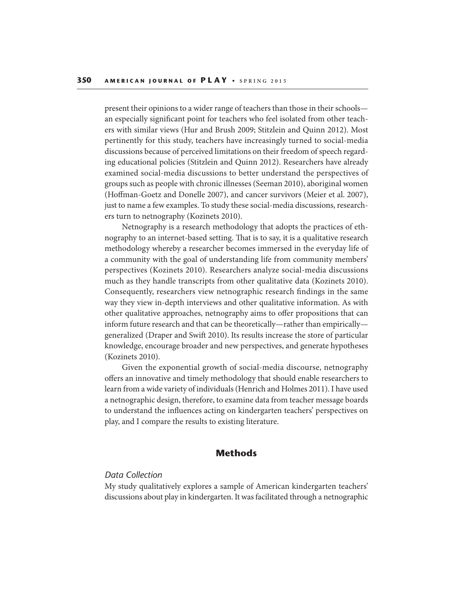present their opinions to a wider range of teachers than those in their schools an especially significant point for teachers who feel isolated from other teachers with similar views (Hur and Brush 2009; Stitzlein and Quinn 2012). Most pertinently for this study, teachers have increasingly turned to social-media discussions because of perceived limitations on their freedom of speech regarding educational policies (Stitzlein and Quinn 2012). Researchers have already examined social-media discussions to better understand the perspectives of groups such as people with chronic illnesses (Seeman 2010), aboriginal women (Hoffman-Goetz and Donelle 2007), and cancer survivors (Meier et al. 2007), just to name a few examples. To study these social-media discussions, researchers turn to netnography (Kozinets 2010).

Netnography is a research methodology that adopts the practices of ethnography to an internet-based setting. That is to say, it is a qualitative research methodology whereby a researcher becomes immersed in the everyday life of a community with the goal of understanding life from community members' perspectives (Kozinets 2010). Researchers analyze social-media discussions much as they handle transcripts from other qualitative data (Kozinets 2010). Consequently, researchers view netnographic research findings in the same way they view in-depth interviews and other qualitative information. As with other qualitative approaches, netnography aims to offer propositions that can inform future research and that can be theoretically—rather than empirically generalized (Draper and Swift 2010). Its results increase the store of particular knowledge, encourage broader and new perspectives, and generate hypotheses (Kozinets 2010).

Given the exponential growth of social-media discourse, netnography offers an innovative and timely methodology that should enable researchers to learn from a wide variety of individuals (Henrich and Holmes 2011). I have used a netnographic design, therefore, to examine data from teacher message boards to understand the influences acting on kindergarten teachers' perspectives on play, and I compare the results to existing literature.

## **Methods**

## *Data Collection*

My study qualitatively explores a sample of American kindergarten teachers' discussions about play in kindergarten. It was facilitated through a netnographic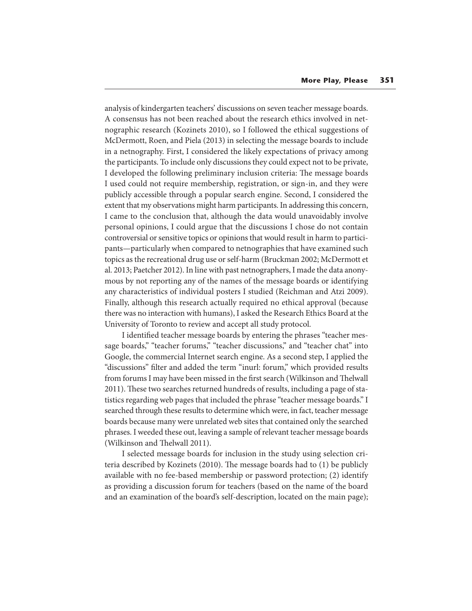analysis of kindergarten teachers' discussions on seven teacher message boards. A consensus has not been reached about the research ethics involved in netnographic research (Kozinets 2010), so I followed the ethical suggestions of McDermott, Roen, and Piela (2013) in selecting the message boards to include in a netnography. First, I considered the likely expectations of privacy among the participants. To include only discussions they could expect not to be private, I developed the following preliminary inclusion criteria: The message boards I used could not require membership, registration, or sign-in, and they were publicly accessible through a popular search engine. Second, I considered the extent that my observations might harm participants. In addressing this concern, I came to the conclusion that, although the data would unavoidably involve personal opinions, I could argue that the discussions I chose do not contain controversial or sensitive topics or opinions that would result in harm to participants—particularly when compared to netnographies that have examined such topics as the recreational drug use or self-harm (Bruckman 2002; McDermott et al. 2013; Paetcher 2012). In line with past netnographers, I made the data anonymous by not reporting any of the names of the message boards or identifying any characteristics of individual posters I studied (Reichman and Atzi 2009). Finally, although this research actually required no ethical approval (because there was no interaction with humans), I asked the Research Ethics Board at the University of Toronto to review and accept all study protocol.

I identified teacher message boards by entering the phrases "teacher message boards," "teacher forums," "teacher discussions," and "teacher chat" into Google, the commercial Internet search engine. As a second step, I applied the "discussions" filter and added the term "inurl: forum," which provided results from forums I may have been missed in the first search (Wilkinson and Thelwall 2011). These two searches returned hundreds of results, including a page of statistics regarding web pages that included the phrase "teacher message boards." I searched through these results to determine which were, in fact, teacher message boards because many were unrelated web sites that contained only the searched phrases. I weeded these out, leaving a sample of relevant teacher message boards (Wilkinson and Thelwall 2011).

I selected message boards for inclusion in the study using selection criteria described by Kozinets  $(2010)$ . The message boards had to  $(1)$  be publicly available with no fee-based membership or password protection; (2) identify as providing a discussion forum for teachers (based on the name of the board and an examination of the board's self-description, located on the main page);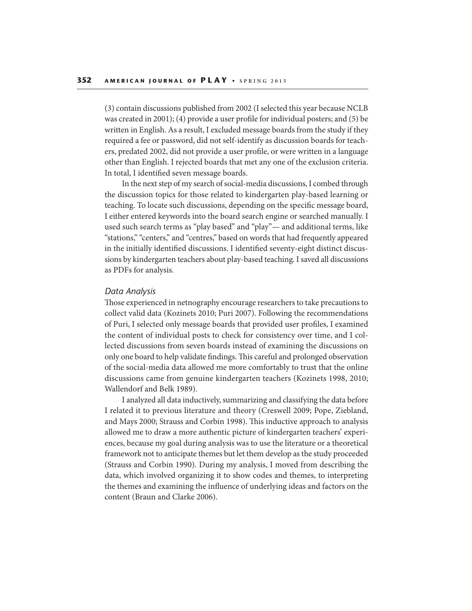(3) contain discussions published from 2002 (I selected this year because NCLB was created in 2001); (4) provide a user profile for individual posters; and (5) be written in English. As a result, I excluded message boards from the study if they required a fee or password, did not self-identify as discussion boards for teachers, predated 2002, did not provide a user profile, or were written in a language other than English. I rejected boards that met any one of the exclusion criteria. In total, I identified seven message boards.

In the next step of my search of social-media discussions, I combed through the discussion topics for those related to kindergarten play-based learning or teaching. To locate such discussions, depending on the specific message board, I either entered keywords into the board search engine or searched manually. I used such search terms as "play based" and "play"— and additional terms, like "stations," "centers," and "centres," based on words that had frequently appeared in the initially identified discussions. I identified seventy-eight distinct discussions by kindergarten teachers about play-based teaching. I saved all discussions as PDFs for analysis.

#### *Data Analysis*

Those experienced in netnography encourage researchers to take precautions to collect valid data (Kozinets 2010; Puri 2007). Following the recommendations of Puri, I selected only message boards that provided user profiles, I examined the content of individual posts to check for consistency over time, and I collected discussions from seven boards instead of examining the discussions on only one board to help validate findings. This careful and prolonged observation of the social-media data allowed me more comfortably to trust that the online discussions came from genuine kindergarten teachers (Kozinets 1998, 2010; Wallendorf and Belk 1989).

I analyzed all data inductively, summarizing and classifying the data before I related it to previous literature and theory (Creswell 2009; Pope, Ziebland, and Mays 2000; Strauss and Corbin 1998). This inductive approach to analysis allowed me to draw a more authentic picture of kindergarten teachers' experiences, because my goal during analysis was to use the literature or a theoretical framework not to anticipate themes but let them develop as the study proceeded (Strauss and Corbin 1990). During my analysis, I moved from describing the data, which involved organizing it to show codes and themes, to interpreting the themes and examining the influence of underlying ideas and factors on the content (Braun and Clarke 2006).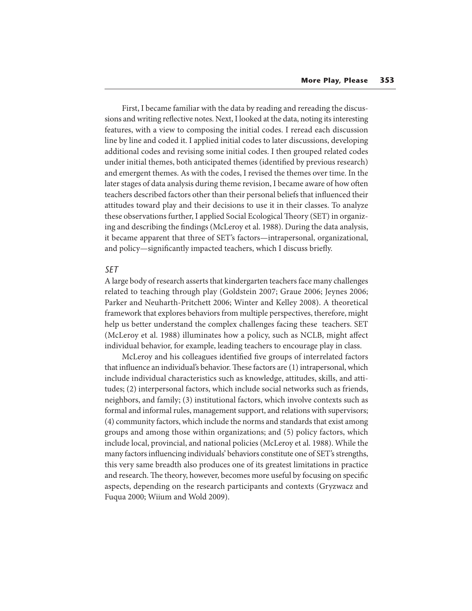First, I became familiar with the data by reading and rereading the discussions and writing reflective notes. Next, I looked at the data, noting its interesting features, with a view to composing the initial codes. I reread each discussion line by line and coded it. I applied initial codes to later discussions, developing additional codes and revising some initial codes. I then grouped related codes under initial themes, both anticipated themes (identified by previous research) and emergent themes. As with the codes, I revised the themes over time. In the later stages of data analysis during theme revision, I became aware of how often teachers described factors other than their personal beliefs that influenced their attitudes toward play and their decisions to use it in their classes. To analyze these observations further, I applied Social Ecological Theory (SET) in organizing and describing the findings (McLeroy et al. 1988). During the data analysis, it became apparent that three of SET's factors—intrapersonal, organizational, and policy—significantly impacted teachers, which I discuss briefly.

#### *SET*

A large body of research asserts that kindergarten teachers face many challenges related to teaching through play (Goldstein 2007; Graue 2006; Jeynes 2006; Parker and Neuharth-Pritchett 2006; Winter and Kelley 2008). A theoretical framework that explores behaviors from multiple perspectives, therefore, might help us better understand the complex challenges facing these teachers. SET (McLeroy et al. 1988) illuminates how a policy, such as NCLB, might affect individual behavior, for example, leading teachers to encourage play in class.

McLeroy and his colleagues identified five groups of interrelated factors that influence an individual's behavior. These factors are  $(1)$  intrapersonal, which include individual characteristics such as knowledge, attitudes, skills, and attitudes; (2) interpersonal factors, which include social networks such as friends, neighbors, and family; (3) institutional factors, which involve contexts such as formal and informal rules, management support, and relations with supervisors; (4) community factors, which include the norms and standards that exist among groups and among those within organizations; and (5) policy factors, which include local, provincial, and national policies (McLeroy et al. 1988). While the many factors influencing individuals' behaviors constitute one of SET's strengths, this very same breadth also produces one of its greatest limitations in practice and research. The theory, however, becomes more useful by focusing on specific aspects, depending on the research participants and contexts (Gryzwacz and Fuqua 2000; Wiium and Wold 2009).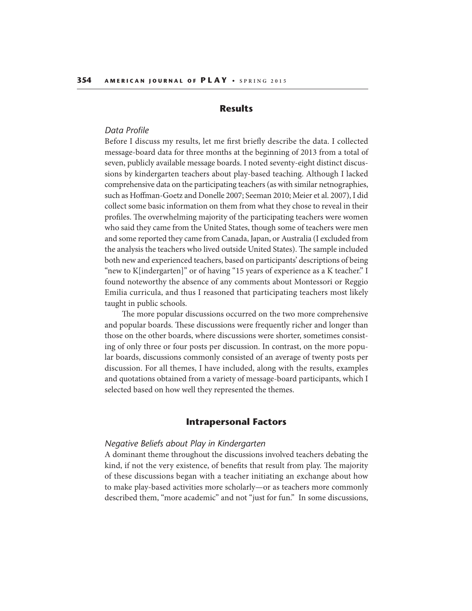## **Results**

#### *Data Profile*

Before I discuss my results, let me first briefly describe the data. I collected message-board data for three months at the beginning of 2013 from a total of seven, publicly available message boards. I noted seventy-eight distinct discussions by kindergarten teachers about play-based teaching. Although I lacked comprehensive data on the participating teachers (as with similar netnographies, such as Hoffman-Goetz and Donelle 2007; Seeman 2010; Meier et al. 2007), I did collect some basic information on them from what they chose to reveal in their profiles. The overwhelming majority of the participating teachers were women who said they came from the United States, though some of teachers were men and some reported they came from Canada, Japan, or Australia (I excluded from the analysis the teachers who lived outside United States). The sample included both new and experienced teachers, based on participants' descriptions of being "new to K[indergarten]" or of having "15 years of experience as a K teacher." I found noteworthy the absence of any comments about Montessori or Reggio Emilia curricula, and thus I reasoned that participating teachers most likely taught in public schools.

The more popular discussions occurred on the two more comprehensive and popular boards. These discussions were frequently richer and longer than those on the other boards, where discussions were shorter, sometimes consisting of only three or four posts per discussion. In contrast, on the more popular boards, discussions commonly consisted of an average of twenty posts per discussion. For all themes, I have included, along with the results, examples and quotations obtained from a variety of message-board participants, which I selected based on how well they represented the themes.

## **Intrapersonal Factors**

#### *Negative Beliefs about Play in Kindergarten*

A dominant theme throughout the discussions involved teachers debating the kind, if not the very existence, of benefits that result from play. The majority of these discussions began with a teacher initiating an exchange about how to make play-based activities more scholarly—or as teachers more commonly described them, "more academic" and not "just for fun." In some discussions,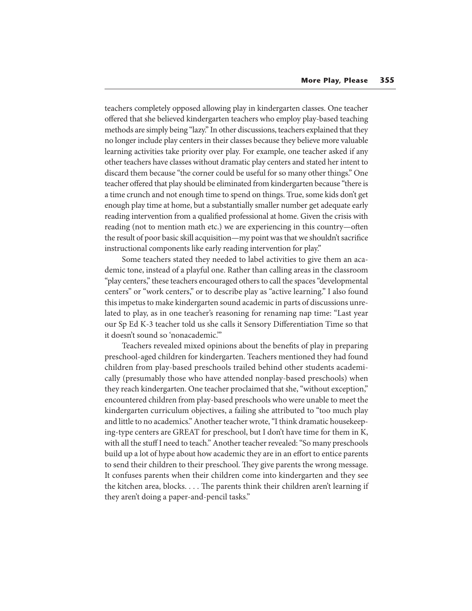teachers completely opposed allowing play in kindergarten classes. One teacher offered that she believed kindergarten teachers who employ play-based teaching methods are simply being "lazy." In other discussions, teachers explained that they no longer include play centers in their classes because they believe more valuable learning activities take priority over play. For example, one teacher asked if any other teachers have classes without dramatic play centers and stated her intent to discard them because "the corner could be useful for so many other things." One teacher offered that play should be eliminated from kindergarten because "there is a time crunch and not enough time to spend on things. True, some kids don't get enough play time at home, but a substantially smaller number get adequate early reading intervention from a qualified professional at home. Given the crisis with reading (not to mention math etc.) we are experiencing in this country—often the result of poor basic skill acquisition—my point was that we shouldn't sacrifice instructional components like early reading intervention for play."

Some teachers stated they needed to label activities to give them an academic tone, instead of a playful one. Rather than calling areas in the classroom "play centers," these teachers encouraged others to call the spaces "developmental centers" or "work centers," or to describe play as "active learning." I also found this impetus to make kindergarten sound academic in parts of discussions unrelated to play, as in one teacher's reasoning for renaming nap time: "Last year our Sp Ed K-3 teacher told us she calls it Sensory Differentiation Time so that it doesn't sound so 'nonacademic.'"

Teachers revealed mixed opinions about the benefits of play in preparing preschool-aged children for kindergarten. Teachers mentioned they had found children from play-based preschools trailed behind other students academically (presumably those who have attended nonplay-based preschools) when they reach kindergarten. One teacher proclaimed that she, "without exception," encountered children from play-based preschools who were unable to meet the kindergarten curriculum objectives, a failing she attributed to "too much play and little to no academics." Another teacher wrote, "I think dramatic housekeeping-type centers are GREAT for preschool, but I don't have time for them in K, with all the stuff I need to teach." Another teacher revealed: "So many preschools build up a lot of hype about how academic they are in an effort to entice parents to send their children to their preschool. They give parents the wrong message. It confuses parents when their children come into kindergarten and they see the kitchen area, blocks.  $\dots$  The parents think their children aren't learning if they aren't doing a paper-and-pencil tasks."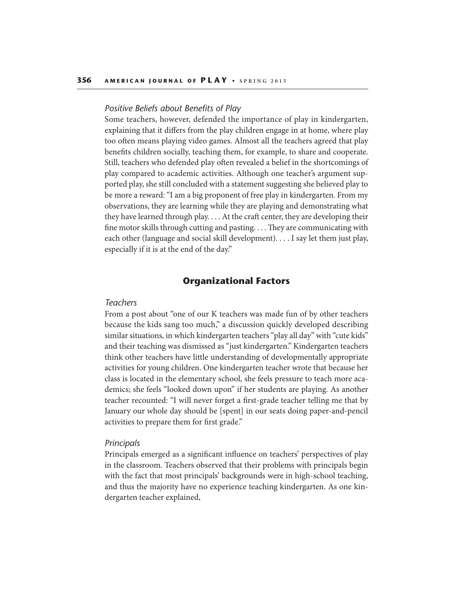#### *Positive Beliefs about Benefits of Play*

Some teachers, however, defended the importance of play in kindergarten, explaining that it differs from the play children engage in at home, where play too often means playing video games. Almost all the teachers agreed that play benefits children socially, teaching them, for example, to share and cooperate. Still, teachers who defended play often revealed a belief in the shortcomings of play compared to academic activities. Although one teacher's argument supported play, she still concluded with a statement suggesting she believed play to be more a reward: "I am a big proponent of free play in kindergarten. From my observations, they are learning while they are playing and demonstrating what they have learned through play.  $\dots$  At the craft center, they are developing their fine motor skills through cutting and pasting.  $\dots$  They are communicating with each other (language and social skill development). . . . I say let them just play, especially if it is at the end of the day."

## **Organizational Factors**

#### *Teachers*

From a post about "one of our K teachers was made fun of by other teachers because the kids sang too much," a discussion quickly developed describing similar situations, in which kindergarten teachers "play all day" with "cute kids" and their teaching was dismissed as "just kindergarten." Kindergarten teachers think other teachers have little understanding of developmentally appropriate activities for young children. One kindergarten teacher wrote that because her class is located in the elementary school, she feels pressure to teach more academics; she feels "looked down upon" if her students are playing. As another teacher recounted: "I will never forget a first-grade teacher telling me that by January our whole day should be [spent] in our seats doing paper-and-pencil activities to prepare them for first grade."

#### *Principals*

Principals emerged as a significant influence on teachers' perspectives of play in the classroom. Teachers observed that their problems with principals begin with the fact that most principals' backgrounds were in high-school teaching, and thus the majority have no experience teaching kindergarten. As one kindergarten teacher explained,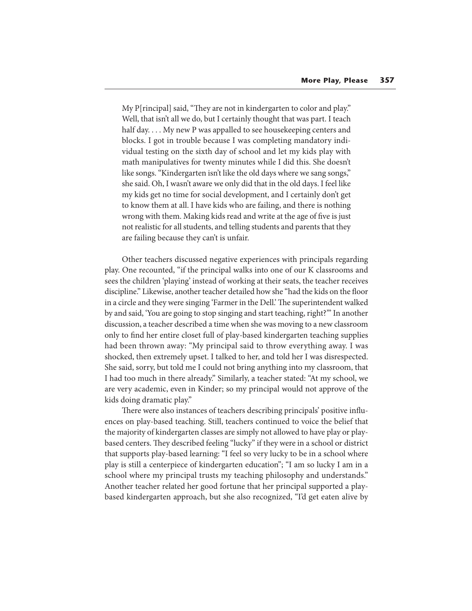My P[rincipal] said, "They are not in kindergarten to color and play." Well, that isn't all we do, but I certainly thought that was part. I teach half day.... My new P was appalled to see house keeping centers and blocks. I got in trouble because I was completing mandatory individual testing on the sixth day of school and let my kids play with math manipulatives for twenty minutes while I did this. She doesn't like songs. "Kindergarten isn't like the old days where we sang songs," she said. Oh, I wasn't aware we only did that in the old days. I feel like my kids get no time for social development, and I certainly don't get to know them at all. I have kids who are failing, and there is nothing wrong with them. Making kids read and write at the age of five is just not realistic for all students, and telling students and parents that they are failing because they can't is unfair.

Other teachers discussed negative experiences with principals regarding play. One recounted, "if the principal walks into one of our K classrooms and sees the children 'playing' instead of working at their seats, the teacher receives discipline." Likewise, another teacher detailed how she "had the kids on the floor in a circle and they were singing 'Farmer in the Dell.' The superintendent walked by and said, 'You are going to stop singing and start teaching, right?'" In another discussion, a teacher described a time when she was moving to a new classroom only to find her entire closet full of play-based kindergarten teaching supplies had been thrown away: "My principal said to throw everything away. I was shocked, then extremely upset. I talked to her, and told her I was disrespected. She said, sorry, but told me I could not bring anything into my classroom, that I had too much in there already." Similarly, a teacher stated: "At my school, we are very academic, even in Kinder; so my principal would not approve of the kids doing dramatic play."

There were also instances of teachers describing principals' positive influences on play-based teaching. Still, teachers continued to voice the belief that the majority of kindergarten classes are simply not allowed to have play or playbased centers. They described feeling "lucky" if they were in a school or district that supports play-based learning: "I feel so very lucky to be in a school where play is still a centerpiece of kindergarten education"; "I am so lucky I am in a school where my principal trusts my teaching philosophy and understands." Another teacher related her good fortune that her principal supported a playbased kindergarten approach, but she also recognized, "I'd get eaten alive by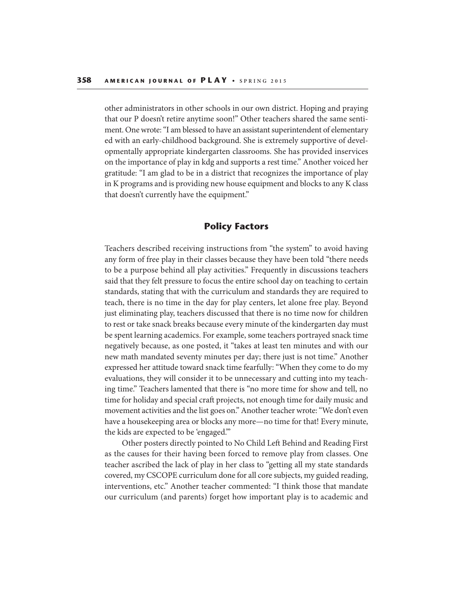other administrators in other schools in our own district. Hoping and praying that our P doesn't retire anytime soon!" Other teachers shared the same sentiment. One wrote: "I am blessed to have an assistant superintendent of elementary ed with an early-childhood background. She is extremely supportive of developmentally appropriate kindergarten classrooms. She has provided inservices on the importance of play in kdg and supports a rest time." Another voiced her gratitude: "I am glad to be in a district that recognizes the importance of play in K programs and is providing new house equipment and blocks to any K class that doesn't currently have the equipment."

## **Policy Factors**

Teachers described receiving instructions from "the system" to avoid having any form of free play in their classes because they have been told "there needs to be a purpose behind all play activities." Frequently in discussions teachers said that they felt pressure to focus the entire school day on teaching to certain standards, stating that with the curriculum and standards they are required to teach, there is no time in the day for play centers, let alone free play. Beyond just eliminating play, teachers discussed that there is no time now for children to rest or take snack breaks because every minute of the kindergarten day must be spent learning academics. For example, some teachers portrayed snack time negatively because, as one posted, it "takes at least ten minutes and with our new math mandated seventy minutes per day; there just is not time." Another expressed her attitude toward snack time fearfully: "When they come to do my evaluations, they will consider it to be unnecessary and cutting into my teaching time." Teachers lamented that there is "no more time for show and tell, no time for holiday and special craft projects, not enough time for daily music and movement activities and the list goes on." Another teacher wrote: "We don't even have a housekeeping area or blocks any more—no time for that! Every minute, the kids are expected to be 'engaged.'"

Other posters directly pointed to No Child Left Behind and Reading First as the causes for their having been forced to remove play from classes. One teacher ascribed the lack of play in her class to "getting all my state standards covered, my CSCOPE curriculum done for all core subjects, my guided reading, interventions, etc." Another teacher commented: "I think those that mandate our curriculum (and parents) forget how important play is to academic and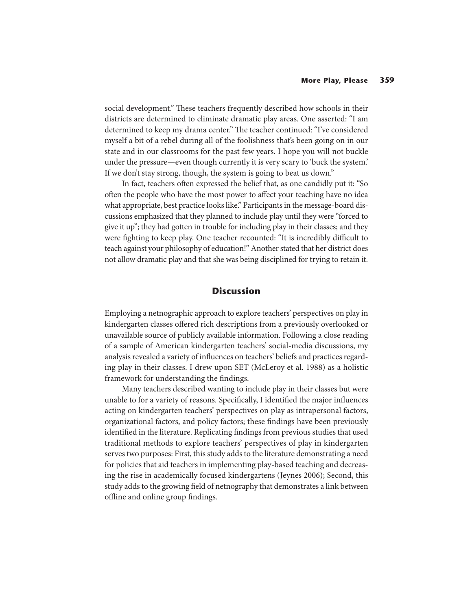social development." These teachers frequently described how schools in their districts are determined to eliminate dramatic play areas. One asserted: "I am determined to keep my drama center." The teacher continued: "I've considered myself a bit of a rebel during all of the foolishness that's been going on in our state and in our classrooms for the past few years. I hope you will not buckle under the pressure—even though currently it is very scary to 'buck the system.' If we don't stay strong, though, the system is going to beat us down."

In fact, teachers often expressed the belief that, as one candidly put it: "So often the people who have the most power to affect your teaching have no idea what appropriate, best practice looks like." Participants in the message-board discussions emphasized that they planned to include play until they were "forced to give it up"; they had gotten in trouble for including play in their classes; and they were fighting to keep play. One teacher recounted: "It is incredibly difficult to teach against your philosophy of education!" Another stated that her district does not allow dramatic play and that she was being disciplined for trying to retain it.

## **Discussion**

Employing a netnographic approach to explore teachers' perspectives on play in kindergarten classes offered rich descriptions from a previously overlooked or unavailable source of publicly available information. Following a close reading of a sample of American kindergarten teachers' social-media discussions, my analysis revealed a variety of influences on teachers' beliefs and practices regarding play in their classes. I drew upon SET (McLeroy et al. 1988) as a holistic framework for understanding the findings.

Many teachers described wanting to include play in their classes but were unable to for a variety of reasons. Specifically, I identified the major influences acting on kindergarten teachers' perspectives on play as intrapersonal factors, organizational factors, and policy factors; these findings have been previously identified in the literature. Replicating findings from previous studies that used traditional methods to explore teachers' perspectives of play in kindergarten serves two purposes: First, this study adds to the literature demonstrating a need for policies that aid teachers in implementing play-based teaching and decreasing the rise in academically focused kindergartens (Jeynes 2006); Second, this study adds to the growing field of netnography that demonstrates a link between offline and online group findings.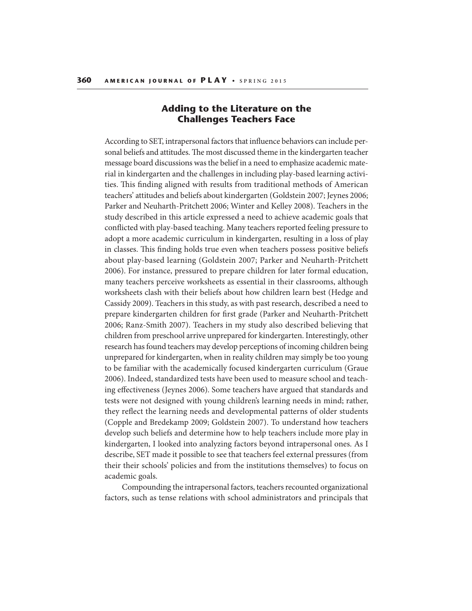# **Adding to the Literature on the Challenges Teachers Face**

According to SET, intrapersonal factors that influence behaviors can include personal beliefs and attitudes. The most discussed theme in the kindergarten teacher message board discussions was the belief in a need to emphasize academic material in kindergarten and the challenges in including play-based learning activities. This finding aligned with results from traditional methods of American teachers' attitudes and beliefs about kindergarten (Goldstein 2007; Jeynes 2006; Parker and Neuharth-Pritchett 2006; Winter and Kelley 2008). Teachers in the study described in this article expressed a need to achieve academic goals that conflicted with play-based teaching. Many teachers reported feeling pressure to adopt a more academic curriculum in kindergarten, resulting in a loss of play in classes. This finding holds true even when teachers possess positive beliefs about play-based learning (Goldstein 2007; Parker and Neuharth-Pritchett 2006). For instance, pressured to prepare children for later formal education, many teachers perceive worksheets as essential in their classrooms, although worksheets clash with their beliefs about how children learn best (Hedge and Cassidy 2009). Teachers in this study, as with past research, described a need to prepare kindergarten children for first grade (Parker and Neuharth-Pritchett 2006; Ranz-Smith 2007). Teachers in my study also described believing that children from preschool arrive unprepared for kindergarten. Interestingly, other research has found teachers may develop perceptions of incoming children being unprepared for kindergarten, when in reality children may simply be too young to be familiar with the academically focused kindergarten curriculum (Graue 2006). Indeed, standardized tests have been used to measure school and teaching effectiveness (Jeynes 2006). Some teachers have argued that standards and tests were not designed with young children's learning needs in mind; rather, they reflect the learning needs and developmental patterns of older students (Copple and Bredekamp 2009; Goldstein 2007). To understand how teachers develop such beliefs and determine how to help teachers include more play in kindergarten, I looked into analyzing factors beyond intrapersonal ones. As I describe, SET made it possible to see that teachers feel external pressures (from their their schools' policies and from the institutions themselves) to focus on academic goals.

Compounding the intrapersonal factors, teachers recounted organizational factors, such as tense relations with school administrators and principals that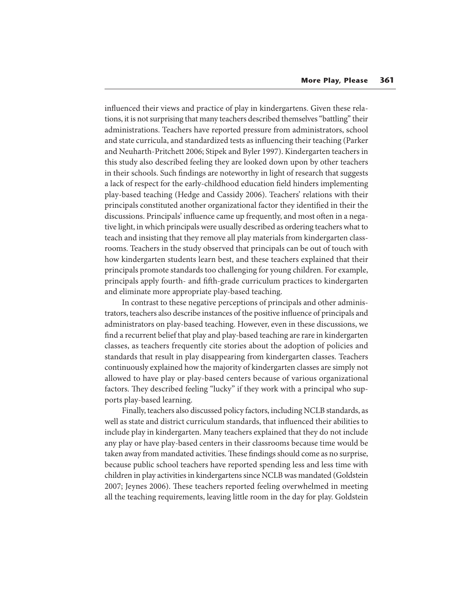influenced their views and practice of play in kindergartens. Given these relations, it is not surprising that many teachers described themselves "battling" their administrations. Teachers have reported pressure from administrators, school and state curricula, and standardized tests as influencing their teaching (Parker and Neuharth-Pritchett 2006; Stipek and Byler 1997). Kindergarten teachers in this study also described feeling they are looked down upon by other teachers in their schools. Such findings are noteworthy in light of research that suggests a lack of respect for the early-childhood education field hinders implementing play-based teaching (Hedge and Cassidy 2006). Teachers' relations with their principals constituted another organizational factor they identified in their the discussions. Principals' influence came up frequently, and most often in a negative light, in which principals were usually described as ordering teachers what to teach and insisting that they remove all play materials from kindergarten classrooms. Teachers in the study observed that principals can be out of touch with how kindergarten students learn best, and these teachers explained that their principals promote standards too challenging for young children. For example, principals apply fourth- and fifth-grade curriculum practices to kindergarten and eliminate more appropriate play-based teaching.

In contrast to these negative perceptions of principals and other administrators, teachers also describe instances of the positive influence of principals and administrators on play-based teaching. However, even in these discussions, we find a recurrent belief that play and play-based teaching are rare in kindergarten classes, as teachers frequently cite stories about the adoption of policies and standards that result in play disappearing from kindergarten classes. Teachers continuously explained how the majority of kindergarten classes are simply not allowed to have play or play-based centers because of various organizational factors. They described feeling "lucky" if they work with a principal who supports play-based learning.

Finally, teachers also discussed policy factors, including NCLB standards, as well as state and district curriculum standards, that influenced their abilities to include play in kindergarten. Many teachers explained that they do not include any play or have play-based centers in their classrooms because time would be taken away from mandated activities. These findings should come as no surprise, because public school teachers have reported spending less and less time with children in play activities in kindergartens since NCLB was mandated (Goldstein 2007; Jeynes 2006). These teachers reported feeling overwhelmed in meeting all the teaching requirements, leaving little room in the day for play. Goldstein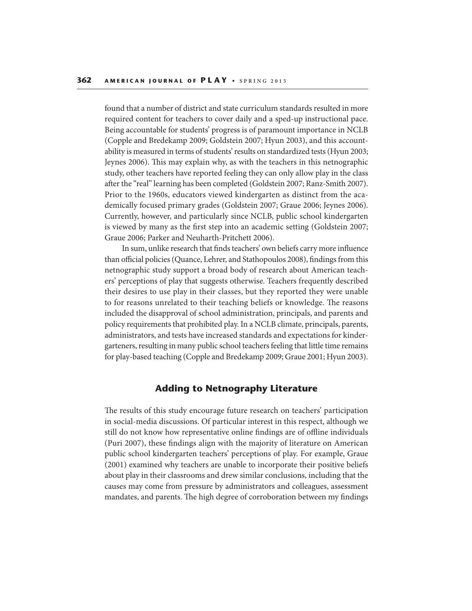found that a number of district and state curriculum standards resulted in more required content for teachers to cover daily and a sped-up instructional pace. Being accountable for students' progress is of paramount importance in NCLB (Copple and Bredekamp 2009; Goldstein 2007; Hyun 2003), and this accountability is measured in terms of students' results on standardized tests (Hyun 2003; Jeynes 2006). This may explain why, as with the teachers in this netnographic study, other teachers have reported feeling they can only allow play in the class after the "real" learning has been completed (Goldstein 2007; Ranz-Smith 2007). Prior to the 1960s, educators viewed kindergarten as distinct from the academically focused primary grades (Goldstein 2007; Graue 2006; Jeynes 2006). Currently, however, and particularly since NCLB, public school kindergarten is viewed by many as the first step into an academic setting (Goldstein 2007; Graue 2006; Parker and Neuharth-Pritchett 2006).

In sum, unlike research that finds teachers' own beliefs carry more influence than official policies (Quance, Lehrer, and Stathopoulos 2008), findings from this netnographic study support a broad body of research about American teachers' perceptions of play that suggests otherwise. Teachers frequently described their desires to use play in their classes, but they reported they were unable to for reasons unrelated to their teaching beliefs or knowledge. The reasons included the disapproval of school administration, principals, and parents and policy requirements that prohibited play. In a NCLB climate, principals, parents, administrators, and tests have increased standards and expectations for kindergarteners, resulting in many public school teachers feeling that little time remains for play-based teaching (Copple and Bredekamp 2009; Graue 2001; Hyun 2003).

## **Adding to Netnography Literature**

The results of this study encourage future research on teachers' participation in social-media discussions. Of particular interest in this respect, although we still do not know how representative online findings are of offline individuals (Puri 2007), these findings align with the majority of literature on American public school kindergarten teachers' perceptions of play. For example, Graue (2001) examined why teachers are unable to incorporate their positive beliefs about play in their classrooms and drew similar conclusions, including that the causes may come from pressure by administrators and colleagues, assessment mandates, and parents. The high degree of corroboration between my findings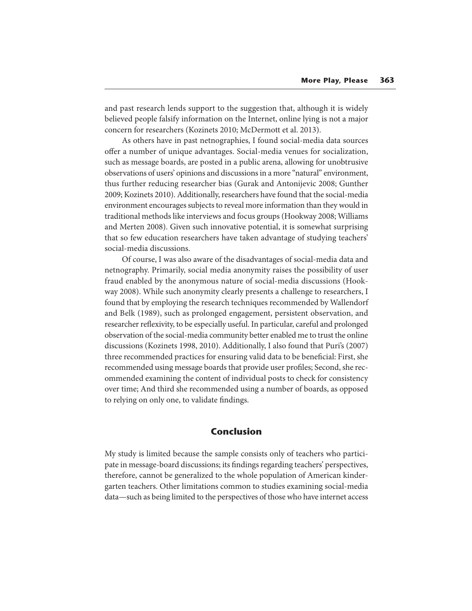and past research lends support to the suggestion that, although it is widely believed people falsify information on the Internet, online lying is not a major concern for researchers (Kozinets 2010; McDermott et al. 2013).

As others have in past netnographies, I found social-media data sources offer a number of unique advantages. Social-media venues for socialization, such as message boards, are posted in a public arena, allowing for unobtrusive observations of users' opinions and discussions in a more "natural" environment, thus further reducing researcher bias (Gurak and Antonijevic 2008; Gunther 2009; Kozinets 2010). Additionally, researchers have found that the social-media environment encourages subjects to reveal more information than they would in traditional methods like interviews and focus groups (Hookway 2008; Williams and Merten 2008). Given such innovative potential, it is somewhat surprising that so few education researchers have taken advantage of studying teachers' social-media discussions.

Of course, I was also aware of the disadvantages of social-media data and netnography. Primarily, social media anonymity raises the possibility of user fraud enabled by the anonymous nature of social-media discussions (Hookway 2008). While such anonymity clearly presents a challenge to researchers, I found that by employing the research techniques recommended by Wallendorf and Belk (1989), such as prolonged engagement, persistent observation, and researcher reflexivity, to be especially useful. In particular, careful and prolonged observation of the social-media community better enabled me to trust the online discussions (Kozinets 1998, 2010). Additionally, I also found that Puri's (2007) three recommended practices for ensuring valid data to be beneficial: First, she recommended using message boards that provide user profiles; Second, she recommended examining the content of individual posts to check for consistency over time; And third she recommended using a number of boards, as opposed to relying on only one, to validate findings.

## **Conclusion**

My study is limited because the sample consists only of teachers who participate in message-board discussions; its findings regarding teachers' perspectives, therefore, cannot be generalized to the whole population of American kindergarten teachers. Other limitations common to studies examining social-media data—such as being limited to the perspectives of those who have internet access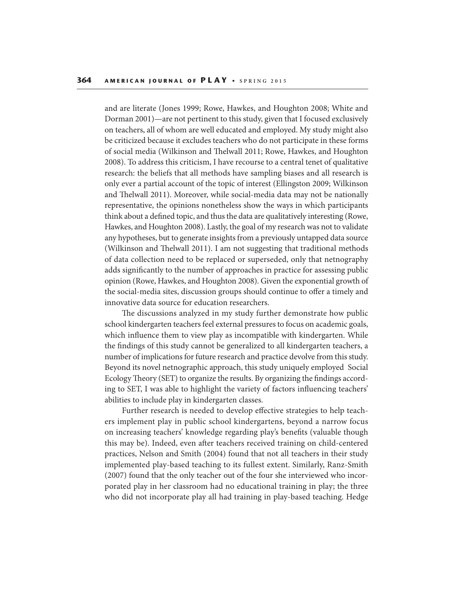and are literate (Jones 1999; Rowe, Hawkes, and Houghton 2008; White and Dorman 2001)—are not pertinent to this study, given that I focused exclusively on teachers, all of whom are well educated and employed. My study might also be criticized because it excludes teachers who do not participate in these forms of social media (Wilkinson and Thelwall 2011; Rowe, Hawkes, and Houghton 2008). To address this criticism, I have recourse to a central tenet of qualitative research: the beliefs that all methods have sampling biases and all research is only ever a partial account of the topic of interest (Ellingston 2009; Wilkinson and Thelwall 2011). Moreover, while social-media data may not be nationally representative, the opinions nonetheless show the ways in which participants think about a defined topic, and thus the data are qualitatively interesting (Rowe, Hawkes, and Houghton 2008). Lastly, the goal of my research was not to validate any hypotheses, but to generate insights from a previously untapped data source (Wilkinson and Thelwall 2011). I am not suggesting that traditional methods of data collection need to be replaced or superseded, only that netnography adds significantly to the number of approaches in practice for assessing public opinion (Rowe, Hawkes, and Houghton 2008). Given the exponential growth of the social-media sites, discussion groups should continue to offer a timely and innovative data source for education researchers.

The discussions analyzed in my study further demonstrate how public school kindergarten teachers feel external pressures to focus on academic goals, which influence them to view play as incompatible with kindergarten. While the findings of this study cannot be generalized to all kindergarten teachers, a number of implications for future research and practice devolve from this study. Beyond its novel netnographic approach, this study uniquely employed Social Ecology Theory (SET) to organize the results. By organizing the findings according to SET, I was able to highlight the variety of factors influencing teachers' abilities to include play in kindergarten classes.

Further research is needed to develop effective strategies to help teachers implement play in public school kindergartens, beyond a narrow focus on increasing teachers' knowledge regarding play's benefits (valuable though this may be). Indeed, even after teachers received training on child-centered practices, Nelson and Smith (2004) found that not all teachers in their study implemented play-based teaching to its fullest extent. Similarly, Ranz-Smith (2007) found that the only teacher out of the four she interviewed who incorporated play in her classroom had no educational training in play; the three who did not incorporate play all had training in play-based teaching. Hedge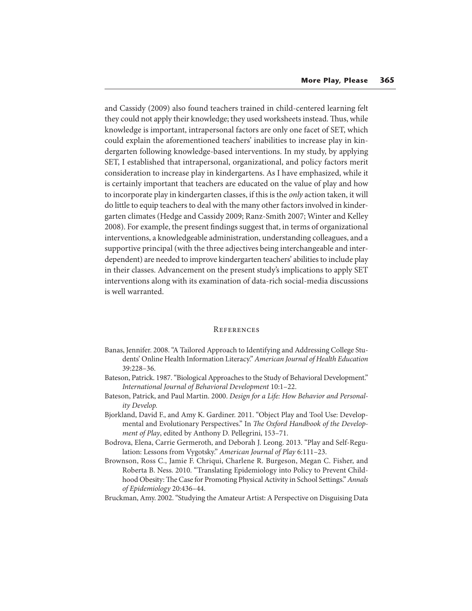and Cassidy (2009) also found teachers trained in child-centered learning felt they could not apply their knowledge; they used worksheets instead. Thus, while knowledge is important, intrapersonal factors are only one facet of SET, which could explain the aforementioned teachers' inabilities to increase play in kindergarten following knowledge-based interventions. In my study, by applying SET, I established that intrapersonal, organizational, and policy factors merit consideration to increase play in kindergartens. As I have emphasized, while it is certainly important that teachers are educated on the value of play and how to incorporate play in kindergarten classes, if this is the only action taken, it will do little to equip teachers to deal with the many other factors involved in kindergarten climates (Hedge and Cassidy 2009; Ranz-Smith 2007; Winter and Kelley 2008). For example, the present findings suggest that, in terms of organizational interventions, a knowledgeable administration, understanding colleagues, and a supportive principal (with the three adjectives being interchangeable and interdependent) are needed to improve kindergarten teachers' abilities to include play in their classes. Advancement on the present study's implications to apply SET interventions along with its examination of data-rich social-media discussions is well warranted.

#### **REFERENCES**

- Banas, Jennifer. 2008. "A Tailored Approach to Identifying and Addressing College Students' Online Health Information Literacy." American Journal of Health Education 39:228–36.
- Bateson, Patrick. 1987. "Biological Approaches to the Study of Behavioral Development." International Journal of Behavioral Development 10:1–22.
- Bateson, Patrick, and Paul Martin. 2000. Design for a Life: How Behavior and Personality Develop.
- Bjorkland, David F., and Amy K. Gardiner. 2011. "Object Play and Tool Use: Developmental and Evolutionary Perspectives." In The Oxford Handbook of the Development of Play, edited by Anthony D. Pellegrini, 153–71.
- Bodrova, Elena, Carrie Germeroth, and Deborah J. Leong. 2013. "Play and Self-Regulation: Lessons from Vygotsky." American Journal of Play 6:111–23.
- Brownson, Ross C., Jamie F. Chriqui, Charlene R. Burgeson, Megan C. Fisher, and Roberta B. Ness. 2010. "Translating Epidemiology into Policy to Prevent Childhood Obesity: The Case for Promoting Physical Activity in School Settings." Annals of Epidemiology 20:436–44.
- Bruckman, Amy. 2002. "Studying the Amateur Artist: A Perspective on Disguising Data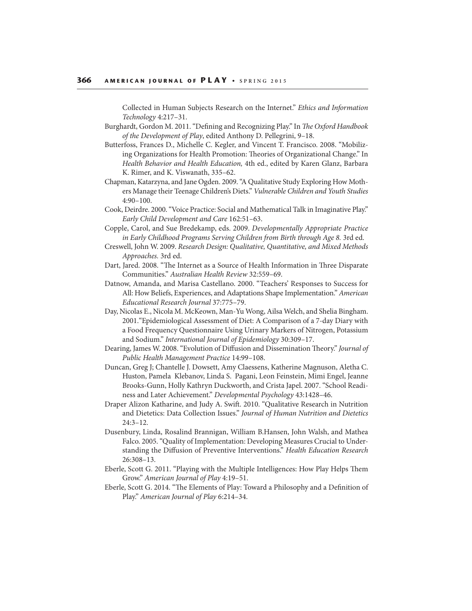Collected in Human Subjects Research on the Internet." Ethics and Information Technology 4:217–31.

- Burghardt, Gordon M. 2011. "Defining and Recognizing Play." In The Oxford Handbook of the Development of Play, edited Anthony D. Pellegrini, 9–18.
- Butterfoss, Frances D., Michelle C. Kegler, and Vincent T. Francisco. 2008. "Mobilizing Organizations for Health Promotion: Theories of Organizational Change." In Health Behavior and Health Education, 4th ed., edited by Karen Glanz, Barbara K. Rimer, and K. Viswanath, 335–62.
- Chapman, Katarzyna, and Jane Ogden. 2009. "A Qualitative Study Exploring How Mothers Manage their Teenage Children's Diets." Vulnerable Children and Youth Studies 4:90–100.
- Cook, Deirdre. 2000. "Voice Practice: Social and Mathematical Talk in Imaginative Play." Early Child Development and Care 162:51–63.
- Copple, Carol, and Sue Bredekamp, eds. 2009. Developmentally Appropriate Practice in Early Childhood Programs Serving Children from Birth through Age 8. 3rd ed.
- Creswell, John W. 2009. Research Design: Qualitative, Quantitative, and Mixed Methods Approaches. 3rd ed.
- Dart, Jared. 2008. "The Internet as a Source of Health Information in Three Disparate Communities." Australian Health Review 32:559–69.
- Datnow, Amanda, and Marisa Castellano. 2000. "Teachers' Responses to Success for All: How Beliefs, Experiences, and Adaptations Shape Implementation." American Educational Research Journal 37:775–79.
- Day, Nicolas E., Nicola M. McKeown, Man-Yu Wong, Ailsa Welch, and Shelia Bingham. 2001."Epidemiological Assessment of Diet: A Comparison of a 7-day Diary with a Food Frequency Questionnaire Using Urinary Markers of Nitrogen, Potassium and Sodium." International Journal of Epidemiology 30:309–17.
- Dearing, James W. 2008. "Evolution of Diffusion and Dissemination Theory." Journal of Public Health Management Practice 14:99–108.
- Duncan, Greg J; Chantelle J. Dowsett, Amy Claessens, Katherine Magnuson, Aletha C. Huston, Pamela Klebanov, Linda S. Pagani, Leon Feinstein, Mimi Engel, Jeanne Brooks-Gunn, Holly Kathryn Duckworth, and Crista Japel. 2007. "School Readiness and Later Achievement." Developmental Psychology 43:1428–46.
- Draper Alizon Katharine, and Judy A. Swift. 2010. "Qualitative Research in Nutrition and Dietetics: Data Collection Issues." Journal of Human Nutrition and Dietetics 24:3–12.
- Dusenbury, Linda, Rosalind Brannigan, William B.Hansen, John Walsh, and Mathea Falco. 2005. "Quality of Implementation: Developing Measures Crucial to Understanding the Diffusion of Preventive Interventions." Health Education Research 26:308–13.
- Eberle, Scott G. 2011. "Playing with the Multiple Intelligences: How Play Helps Them Grow." American Journal of Play 4:19–51.
- Eberle, Scott G. 2014. "The Elements of Play: Toward a Philosophy and a Definition of Play." American Journal of Play 6:214–34.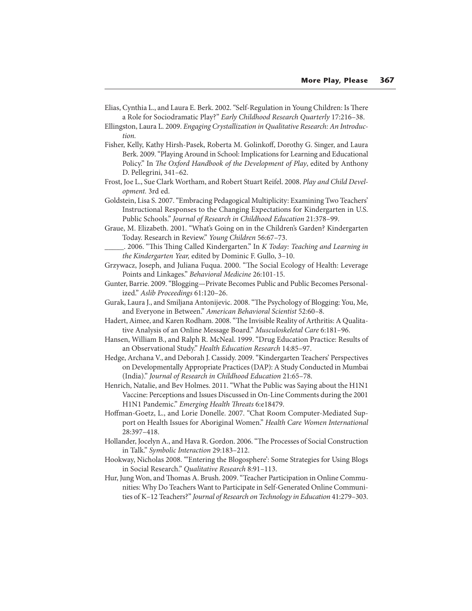- Elias, Cynthia L., and Laura E. Berk. 2002. "Self-Regulation in Young Children: Is There a Role for Sociodramatic Play?" Early Childhood Research Quarterly 17:216–38.
- Ellingston, Laura L. 2009. Engaging Crystallization in Qualitative Research: An Introduction.
- Fisher, Kelly, Kathy Hirsh-Pasek, Roberta M. Golinkoff, Dorothy G. Singer, and Laura Berk. 2009. "Playing Around in School: Implications for Learning and Educational Policy." In The Oxford Handbook of the Development of Play, edited by Anthony D. Pellegrini, 341–62.
- Frost, Joe L., Sue Clark Wortham, and Robert Stuart Reifel. 2008. Play and Child Development. 3rd ed.
- Goldstein, Lisa S. 2007. "Embracing Pedagogical Multiplicity: Examining Two Teachers' Instructional Responses to the Changing Expectations for Kindergarten in U.S. Public Schools." Journal of Research in Childhood Education 21:378–99.
- Graue, M. Elizabeth. 2001. "What's Going on in the Children's Garden? Kindergarten Today. Research in Review." Young Children 56:67–73.
	- 2006. "This Thing Called Kindergarten." In K Today: Teaching and Learning in the Kindergarten Year, edited by Dominic F. Gullo, 3–10.
- Grzywacz, Joseph, and Juliana Fuqua. 2000. "The Social Ecology of Health: Leverage Points and Linkages." Behavioral Medicine 26:101-15.
- Gunter, Barrie. 2009. "Blogging—Private Becomes Public and Public Becomes Personalized." Aslib Proceedings 61:120–26.
- Gurak, Laura J., and Smiljana Antonijevic. 2008. "The Psychology of Blogging: You, Me, and Everyone in Between." American Behavioral Scientist 52:60–8.
- Hadert, Aimee, and Karen Rodham. 2008. "The Invisible Reality of Arthritis: A Qualitative Analysis of an Online Message Board." Musculoskeletal Care 6:181–96.
- Hansen, William B., and Ralph R. McNeal. 1999. "Drug Education Practice: Results of an Observational Study." Health Education Research 14:85–97.
- Hedge, Archana V., and Deborah J. Cassidy. 2009. "Kindergarten Teachers' Perspectives on Developmentally Appropriate Practices (DAP): A Study Conducted in Mumbai (India)." Journal of Research in Childhood Education 21:65–78.
- Henrich, Natalie, and Bev Holmes. 2011. "What the Public was Saying about the H1N1 Vaccine: Perceptions and Issues Discussed in On-Line Comments during the 2001 H1N1 Pandemic." Emerging Health Threats 6:e18479.
- Hoffman-Goetz, L., and Lorie Donelle. 2007. "Chat Room Computer-Mediated Support on Health Issues for Aboriginal Women." Health Care Women International 28:397–418.
- Hollander, Jocelyn A., and Hava R. Gordon. 2006. "The Processes of Social Construction in Talk." Symbolic Interaction 29:183–212.
- Hookway, Nicholas 2008. "'Entering the Blogosphere': Some Strategies for Using Blogs in Social Research." Qualitative Research 8:91–113.
- Hur, Jung Won, and Thomas A. Brush. 2009. "Teacher Participation in Online Communities: Why Do Teachers Want to Participate in Self-Generated Online Communities of K–12 Teachers?" Journal of Research on Technology in Education 41:279–303.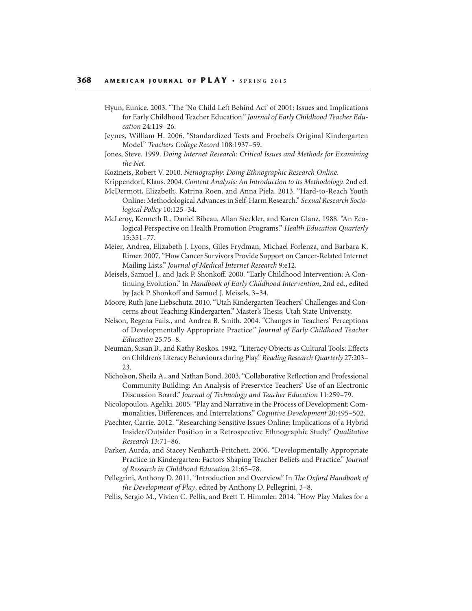- Hyun, Eunice. 2003. "The 'No Child Left Behind Act' of 2001: Issues and Implications for Early Childhood Teacher Education." Journal of Early Childhood Teacher Education 24:119–26.
- Jeynes, William H. 2006. "Standardized Tests and Froebel's Original Kindergarten Model." Teachers College Record 108:1937–59.
- Jones, Steve. 1999. Doing Internet Research: Critical Issues and Methods for Examining the Net.
- Kozinets, Robert V. 2010. Netnography: Doing Ethnographic Research Online.
- Krippendorf, Klaus. 2004. Content Analysis: An Introduction to its Methodology. 2nd ed.
- McDermott, Elizabeth, Katrina Roen, and Anna Piela. 2013. "Hard-to-Reach Youth Online: Methodological Advances in Self-Harm Research." Sexual Research Sociological Policy 10:125–34.
- McLeroy, Kenneth R., Daniel Bibeau, Allan Steckler, and Karen Glanz. 1988. "An Ecological Perspective on Health Promotion Programs." Health Education Quarterly 15:351–77.
- Meier, Andrea, Elizabeth J. Lyons, Giles Frydman, Michael Forlenza, and Barbara K. Rimer. 2007. "How Cancer Survivors Provide Support on Cancer-Related Internet Mailing Lists." Journal of Medical Internet Research 9:e12.
- Meisels, Samuel J., and Jack P. Shonkoff. 2000. "Early Childhood Intervention: A Continuing Evolution." In Handbook of Early Childhood Intervention, 2nd ed., edited by Jack P. Shonkoff and Samuel J. Meisels, 3-34.
- Moore, Ruth Jane Liebschutz. 2010. "Utah Kindergarten Teachers' Challenges and Concerns about Teaching Kindergarten." Master's Thesis, Utah State University.
- Nelson, Regena Fails., and Andrea B. Smith. 2004. "Changes in Teachers' Perceptions of Developmentally Appropriate Practice." Journal of Early Childhood Teacher Education 25:75–8.
- Neuman, Susan B., and Kathy Roskos. 1992. "Literacy Objects as Cultural Tools: Effects on Children's Literacy Behaviours during Play." Reading Research Quarterly 27:203– 23.
- Nicholson, Sheila A., and Nathan Bond. 2003. "Collaborative Reflection and Professional Community Building: An Analysis of Preservice Teachers' Use of an Electronic Discussion Board." Journal of Technology and Teacher Education 11:259–79.
- Nicolopoulou, Ageliki. 2005. "Play and Narrative in the Process of Development: Commonalities, Differences, and Interrelations." Cognitive Development 20:495-502.
- Paechter, Carrie. 2012. "Researching Sensitive Issues Online: Implications of a Hybrid Insider/Outsider Position in a Retrospective Ethnographic Study." Qualitative Research 13:71–86.
- Parker, Aurda, and Stacey Neuharth-Pritchett. 2006. "Developmentally Appropriate Practice in Kindergarten: Factors Shaping Teacher Beliefs and Practice." Journal of Research in Childhood Education 21:65–78.
- Pellegrini, Anthony D. 2011. "Introduction and Overview." In The Oxford Handbook of the Development of Play, edited by Anthony D. Pellegrini, 3–8.
- Pellis, Sergio M., Vivien C. Pellis, and Brett T. Himmler. 2014. "How Play Makes for a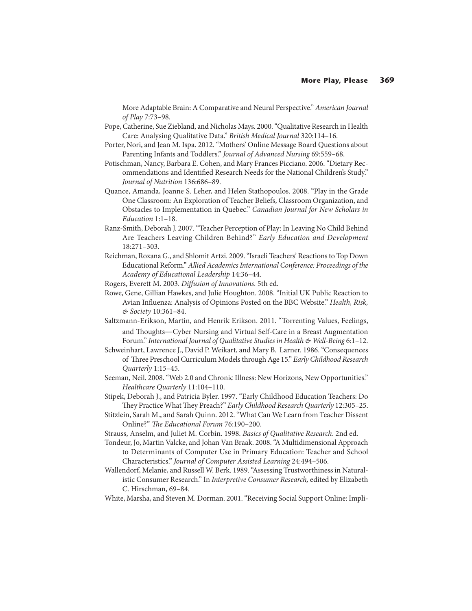More Adaptable Brain: A Comparative and Neural Perspective." American Journal of Play 7:73–98.

- Pope, Catherine, Sue Ziebland, and Nicholas Mays. 2000. "Qualitative Research in Health Care: Analysing Qualitative Data." British Medical Journal 320:114–16.
- Porter, Nori, and Jean M. Ispa. 2012. "Mothers' Online Message Board Questions about Parenting Infants and Toddlers." Journal of Advanced Nursing 69:559–68.
- Potischman, Nancy, Barbara E. Cohen, and Mary Frances Picciano. 2006. "Dietary Recommendations and Identified Research Needs for the National Children's Study." Journal of Nutrition 136:686–89.
- Quance, Amanda, Joanne S. Leher, and Helen Stathopoulos. 2008. "Play in the Grade One Classroom: An Exploration of Teacher Beliefs, Classroom Organization, and Obstacles to Implementation in Quebec." Canadian Journal for New Scholars in Education 1:1–18.
- Ranz-Smith, Deborah J. 2007. "Teacher Perception of Play: In Leaving No Child Behind Are Teachers Leaving Children Behind?" Early Education and Development 18:271–303.
- Reichman, Roxana G., and Shlomit Artzi. 2009. "Israeli Teachers' Reactions to Top Down Educational Reform." Allied Academics International Conference: Proceedings of the Academy of Educational Leadership 14:36–44.
- Rogers, Everett M. 2003. Diffusion of Innovations. 5th ed.
- Rowe, Gene, Gillian Hawkes, and Julie Houghton. 2008. "Initial UK Public Reaction to Avian Influenza: Analysis of Opinions Posted on the BBC Website." Health, Risk, & Society 10:361–84.
- Saltzmann-Erikson, Martin, and Henrik Erikson. 2011. "Torrenting Values, Feelings, and Thoughts—Cyber Nursing and Virtual Self-Care in a Breast Augmentation Forum." International Journal of Qualitative Studies in Health & Well-Being 6:1–12.
- Schweinhart, Lawrence J., David P. Weikart, and Mary B. Larner. 1986. "Consequences of Three Preschool Curriculum Models through Age 15." Early Childhood Research Quarterly 1:15–45.
- Seeman, Neil. 2008. "Web 2.0 and Chronic Illness: New Horizons, New Opportunities." Healthcare Quarterly 11:104–110.
- Stipek, Deborah J., and Patricia Byler. 1997. "Early Childhood Education Teachers: Do They Practice What They Preach?" Early Childhood Research Quarterly 12:305-25.
- Stitzlein, Sarah M., and Sarah Quinn. 2012. "What Can We Learn from Teacher Dissent Online?" The Educational Forum 76:190-200.
- Strauss, Anselm, and Juliet M. Corbin. 1998. Basics of Qualitative Research. 2nd ed.
- Tondeur, Jo, Martin Valcke, and Johan Van Braak. 2008. "A Multidimensional Approach to Determinants of Computer Use in Primary Education: Teacher and School Characteristics." Journal of Computer Assisted Learning 24:494–506.
- Wallendorf, Melanie, and Russell W. Berk. 1989. "Assessing Trustworthiness in Naturalistic Consumer Research." In Interpretive Consumer Research, edited by Elizabeth C. Hirschman, 69–84.
- White, Marsha, and Steven M. Dorman. 2001. "Receiving Social Support Online: Impli-